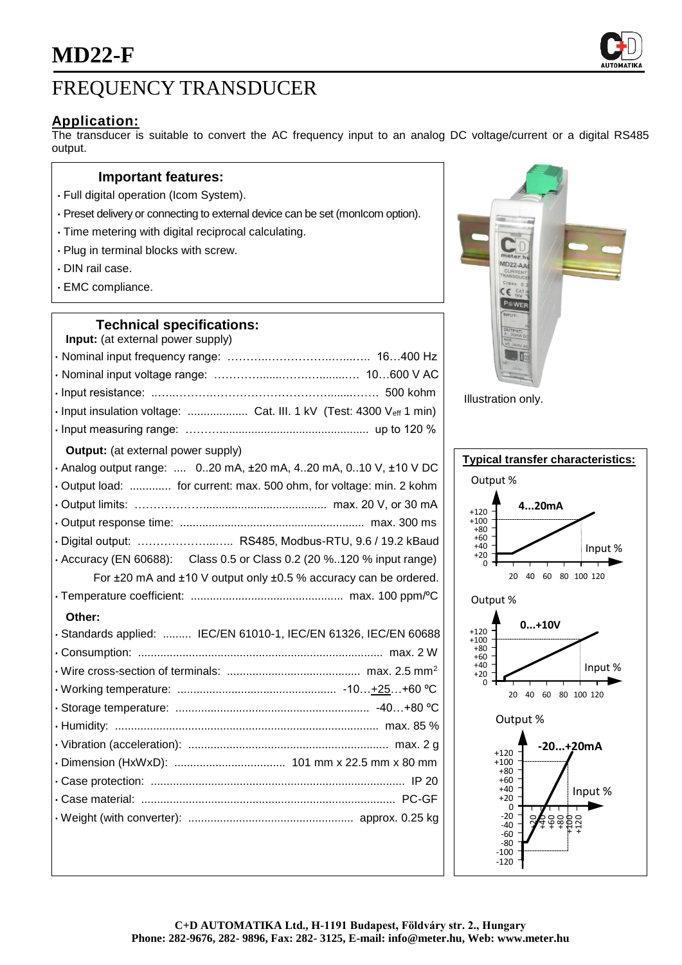

## **Application:**

The transducer is suitable to convert the AC frequency input to an analog DC voltage/current or a digital RS485 output.

#### **Important features:**

- Full digital operation (Icom System).
- Preset delivery or connecting to external device can be set (monIcom option).
- Time metering with digital reciprocal calculating.
- Plug in terminal blocks with screw.
- DIN rail case.
- EMC compliance.

#### **Technical specifications:**

| Input: (at external power supply)                                     |
|-----------------------------------------------------------------------|
|                                                                       |
|                                                                       |
|                                                                       |
| · Input insulation voltage:  Cat. III. 1 kV (Test: 4300 Veff 1 min)   |
|                                                                       |
| <b>Output:</b> (at external power supply)                             |
| · Analog output range:  020 mA, ±20 mA, 420 mA, 010 V, ±10 V DC       |
| Output load:  for current: max. 500 ohm, for voltage: min. 2 kohm     |
|                                                                       |
|                                                                       |
| · Digital output:  RS485, Modbus-RTU, 9.6 / 19.2 kBaud                |
| · Accuracy (EN 60688): Class 0.5 or Class 0.2 (20 %120 % input range) |
| For ±20 mA and ±10 V output only ±0.5 % accuracy can be ordered.      |
|                                                                       |
| Other:                                                                |
| · Standards applied:  IEC/EN 61010-1, IEC/EN 61326, IEC/EN 60688      |
|                                                                       |
|                                                                       |
|                                                                       |
|                                                                       |
|                                                                       |
|                                                                       |
|                                                                       |
|                                                                       |
|                                                                       |
|                                                                       |
|                                                                       |



Illustration only.